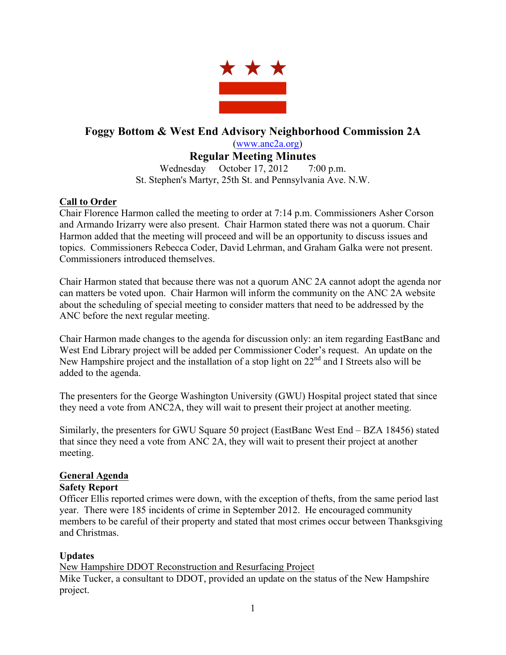

# **Foggy Bottom & West End Advisory Neighborhood Commission 2A** (www.anc2a.org)

# **Regular Meeting Minutes**

Wednesday October 17, 2012 7:00 p.m. St. Stephen's Martyr, 25th St. and Pennsylvania Ave. N.W.

## **Call to Order**

Chair Florence Harmon called the meeting to order at 7:14 p.m. Commissioners Asher Corson and Armando Irizarry were also present. Chair Harmon stated there was not a quorum. Chair Harmon added that the meeting will proceed and will be an opportunity to discuss issues and topics. Commissioners Rebecca Coder, David Lehrman, and Graham Galka were not present. Commissioners introduced themselves.

Chair Harmon stated that because there was not a quorum ANC 2A cannot adopt the agenda nor can matters be voted upon. Chair Harmon will inform the community on the ANC 2A website about the scheduling of special meeting to consider matters that need to be addressed by the ANC before the next regular meeting.

Chair Harmon made changes to the agenda for discussion only: an item regarding EastBanc and West End Library project will be added per Commissioner Coder's request. An update on the New Hampshire project and the installation of a stop light on  $22<sup>nd</sup>$  and I Streets also will be added to the agenda.

The presenters for the George Washington University (GWU) Hospital project stated that since they need a vote from ANC2A, they will wait to present their project at another meeting.

Similarly, the presenters for GWU Square 50 project (EastBanc West End – BZA 18456) stated that since they need a vote from ANC 2A, they will wait to present their project at another meeting.

## **General Agenda**

### **Safety Report**

Officer Ellis reported crimes were down, with the exception of thefts, from the same period last year. There were 185 incidents of crime in September 2012. He encouraged community members to be careful of their property and stated that most crimes occur between Thanksgiving and Christmas.

### **Updates**

New Hampshire DDOT Reconstruction and Resurfacing Project Mike Tucker, a consultant to DDOT, provided an update on the status of the New Hampshire project.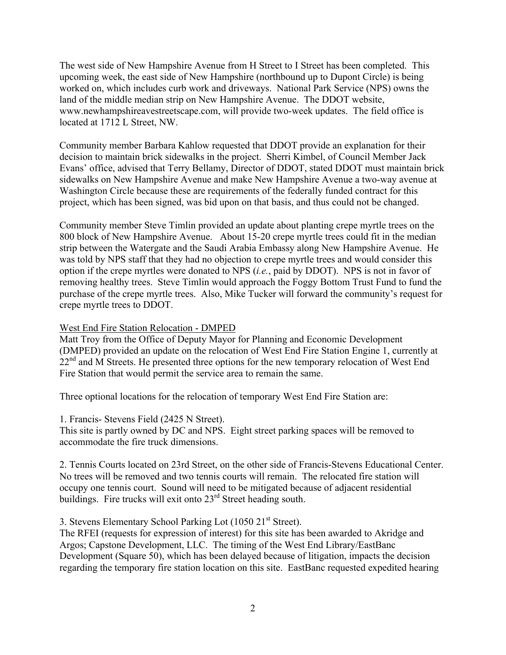The west side of New Hampshire Avenue from H Street to I Street has been completed. This upcoming week, the east side of New Hampshire (northbound up to Dupont Circle) is being worked on, which includes curb work and driveways. National Park Service (NPS) owns the land of the middle median strip on New Hampshire Avenue. The DDOT website, www.newhampshireavestreetscape.com, will provide two-week updates. The field office is located at 1712 L Street, NW.

Community member Barbara Kahlow requested that DDOT provide an explanation for their decision to maintain brick sidewalks in the project. Sherri Kimbel, of Council Member Jack Evans' office, advised that Terry Bellamy, Director of DDOT, stated DDOT must maintain brick sidewalks on New Hampshire Avenue and make New Hampshire Avenue a two-way avenue at Washington Circle because these are requirements of the federally funded contract for this project, which has been signed, was bid upon on that basis, and thus could not be changed.

Community member Steve Timlin provided an update about planting crepe myrtle trees on the 800 block of New Hampshire Avenue. About 15-20 crepe myrtle trees could fit in the median strip between the Watergate and the Saudi Arabia Embassy along New Hampshire Avenue. He was told by NPS staff that they had no objection to crepe myrtle trees and would consider this option if the crepe myrtles were donated to NPS (*i.e.*, paid by DDOT). NPS is not in favor of removing healthy trees. Steve Timlin would approach the Foggy Bottom Trust Fund to fund the purchase of the crepe myrtle trees. Also, Mike Tucker will forward the community's request for crepe myrtle trees to DDOT.

### West End Fire Station Relocation - DMPED

Matt Troy from the Office of Deputy Mayor for Planning and Economic Development (DMPED) provided an update on the relocation of West End Fire Station Engine 1, currently at  $22<sup>nd</sup>$  and M Streets. He presented three options for the new temporary relocation of West End Fire Station that would permit the service area to remain the same.

Three optional locations for the relocation of temporary West End Fire Station are:

1. Francis- Stevens Field (2425 N Street).

This site is partly owned by DC and NPS. Eight street parking spaces will be removed to accommodate the fire truck dimensions.

2. Tennis Courts located on 23rd Street, on the other side of Francis-Stevens Educational Center. No trees will be removed and two tennis courts will remain. The relocated fire station will occupy one tennis court. Sound will need to be mitigated because of adjacent residential buildings. Fire trucks will exit onto  $23<sup>rd</sup>$  Street heading south.

3. Stevens Elementary School Parking Lot (1050 21<sup>st</sup> Street).

The RFEI (requests for expression of interest) for this site has been awarded to Akridge and Argos; Capstone Development, LLC. The timing of the West End Library/EastBanc Development (Square 50), which has been delayed because of litigation, impacts the decision regarding the temporary fire station location on this site. EastBanc requested expedited hearing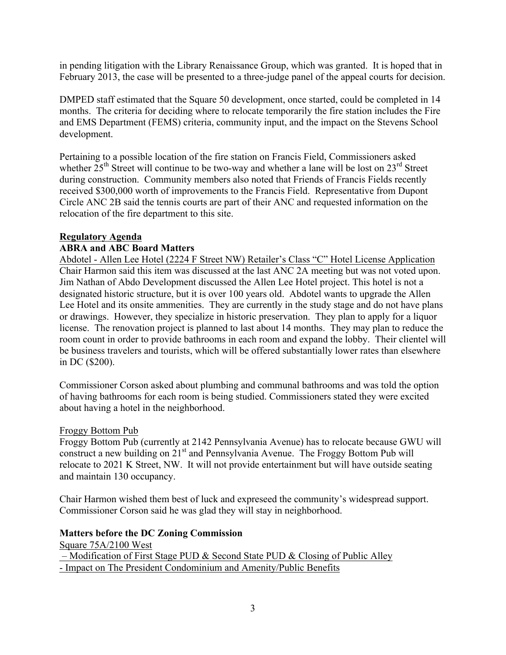in pending litigation with the Library Renaissance Group, which was granted. It is hoped that in February 2013, the case will be presented to a three-judge panel of the appeal courts for decision.

DMPED staff estimated that the Square 50 development, once started, could be completed in 14 months. The criteria for deciding where to relocate temporarily the fire station includes the Fire and EMS Department (FEMS) criteria, community input, and the impact on the Stevens School development.

Pertaining to a possible location of the fire station on Francis Field, Commissioners asked whether  $25<sup>th</sup>$  Street will continue to be two-way and whether a lane will be lost on  $23<sup>rd</sup>$  Street during construction. Community members also noted that Friends of Francis Fields recently received \$300,000 worth of improvements to the Francis Field. Representative from Dupont Circle ANC 2B said the tennis courts are part of their ANC and requested information on the relocation of the fire department to this site.

### **Regulatory Agenda**

#### **ABRA and ABC Board Matters**

Abdotel - Allen Lee Hotel (2224 F Street NW) Retailer's Class "C" Hotel License Application Chair Harmon said this item was discussed at the last ANC 2A meeting but was not voted upon. Jim Nathan of Abdo Development discussed the Allen Lee Hotel project. This hotel is not a designated historic structure, but it is over 100 years old. Abdotel wants to upgrade the Allen Lee Hotel and its onsite ammenities. They are currently in the study stage and do not have plans or drawings. However, they specialize in historic preservation. They plan to apply for a liquor license. The renovation project is planned to last about 14 months. They may plan to reduce the room count in order to provide bathrooms in each room and expand the lobby. Their clientel will be business travelers and tourists, which will be offered substantially lower rates than elsewhere in DC (\$200).

Commissioner Corson asked about plumbing and communal bathrooms and was told the option of having bathrooms for each room is being studied. Commissioners stated they were excited about having a hotel in the neighborhood.

#### Froggy Bottom Pub

Froggy Bottom Pub (currently at 2142 Pennsylvania Avenue) has to relocate because GWU will construct a new building on  $21<sup>st</sup>$  and Pennsylvania Avenue. The Froggy Bottom Pub will relocate to 2021 K Street, NW. It will not provide entertainment but will have outside seating and maintain 130 occupancy.

Chair Harmon wished them best of luck and expreseed the community's widespread support. Commissioner Corson said he was glad they will stay in neighborhood.

### **Matters before the DC Zoning Commission**

Square 75A/2100 West – Modification of First Stage PUD & Second State PUD & Closing of Public Alley - Impact on The President Condominium and Amenity/Public Benefits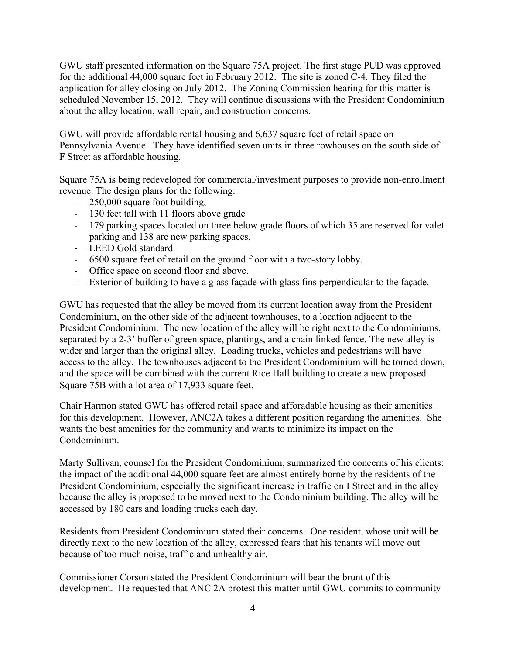GWU staff presented information on the Square 75A project. The first stage PUD was approved for the additional 44,000 square feet in February 2012. The site is zoned C-4. They filed the application for alley closing on July 2012. The Zoning Commission hearing for this matter is scheduled November 15, 2012. They will continue discussions with the President Condominium about the alley location, wall repair, and construction concerns.

GWU will provide affordable rental housing and 6,637 square feet of retail space on Pennsylvania Avenue. They have identified seven units in three rowhouses on the south side of F Street as affordable housing.

Square 75A is being redeveloped for commercial/investment purposes to provide non-enrollment revenue. The design plans for the following:

- 250,000 square foot building,
- 130 feet tall with 11 floors above grade
- 179 parking spaces located on three below grade floors of which 35 are reserved for valet parking and 138 are new parking spaces.
- LEED Gold standard.
- 6500 square feet of retail on the ground floor with a two-story lobby.
- Office space on second floor and above.
- Exterior of building to have a glass façade with glass fins perpendicular to the façade.

GWU has requested that the alley be moved from its current location away from the President Condominium, on the other side of the adjacent townhouses, to a location adjacent to the President Condominium. The new location of the alley will be right next to the Condominiums, separated by a 2-3' buffer of green space, plantings, and a chain linked fence. The new alley is wider and larger than the original alley. Loading trucks, vehicles and pedestrians will have access to the alley. The townhouses adjacent to the President Condominium will be torned down, and the space will be combined with the current Rice Hall building to create a new proposed Square 75B with a lot area of 17,933 square feet.

Chair Harmon stated GWU has offered retail space and afforadable housing as their amenities for this development. However, ANC2A takes a different position regarding the amenities. She wants the best amenities for the community and wants to minimize its impact on the Condominium.

Marty Sullivan, counsel for the President Condominium, summarized the concerns of his clients: the impact of the additional 44,000 square feet are almost entirely borne by the residents of the President Condominium, especially the significant increase in traffic on I Street and in the alley because the alley is proposed to be moved next to the Condominium building. The alley will be accessed by 180 cars and loading trucks each day.

Residents from President Condominium stated their concerns. One resident, whose unit will be directly next to the new location of the alley, expressed fears that his tenants will move out because of too much noise, traffic and unhealthy air.

Commissioner Corson stated the President Condominium will bear the brunt of this development. He requested that ANC 2A protest this matter until GWU commits to community